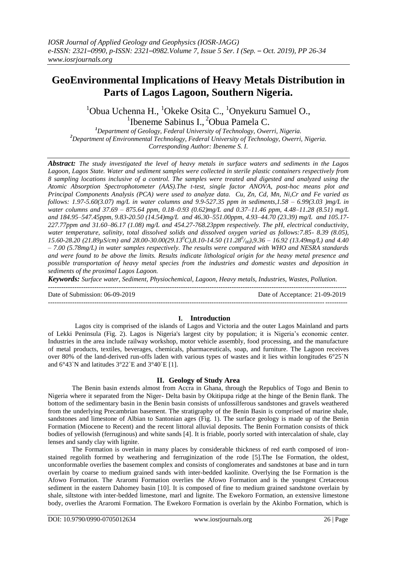# **GeoEnvironmental Implications of Heavy Metals Distribution in Parts of Lagos Lagoon, Southern Nigeria.**

 $1$ Obua Uchenna H.,  $1$ Okeke Osita C.,  $1$ Onyekuru Samuel O., <sup>1</sup>Ibeneme Sabinus I., <sup>2</sup>Obua Pamela C.

*<sup>1</sup>Department of Geology, Federal University of Technology, Owerri, Nigeria. <sup>2</sup>Department of Environmental Technology, Federal University of Technology, Owerri, Nigeria. Corresponding Author: Ibeneme S. I.*

*Abstract: The study investigated the level of heavy metals in surface waters and sediments in the Lagos Lagoon, Lagos State. Water and sediment samples were collected in sterile plastic containers respectively from 8 sampling locations inclusive of a control. The samples were treated and digested and analyzed using the Atomic Absorption Spectrophotometer (AAS).The t-test, single factor ANOVA, post-hoc means plot and Principal Components Analysis (PCA) were used to analyze data. Cu, Zn, Cd, Mn, Ni,Cr and Fe varied as follows: 1.97-5.60(3.07) mg/L in water columns and 9.9-527.35 ppm in sediments,1.58 – 6.99(3.03 )mg/L in water columns and 37.69 – 875.64 ppm, 0.18–0.93 (0.62)mg/L and 0.37–11.46 ppm, 4.48–11.28 (8.51) mg/L and 184.95–547.45ppm, 9.83-20.50 (14.54)mg/L and 46.30–551.00ppm, 4.93–44.70 (23.39) mg/L and 105.17- 227.77ppm and 31.60–86.17 (1.08) mg/L and 454.27-768.23ppm respectively. The pH, electrical conductivity, water temperature, salinity, total dissolved solids and dissolved oxygen varied as follows:7.85- 8.39 (8.05), 15.60-28.20 (21.89µS/cm) and 28.00-30.00(29.13<sup>0</sup>C),8.10-14.50 (11.28<sup>0</sup> /00),9.36 – 16.92 (13.49mg/L) and 4.40 – 7.00 (5.78mg/L) in water samples respectively. The results were compared with WHO and NESRA standards and were found to be above the limits. Results indicate lithological origin for the heavy metal presence and possible transportation of heavy metal species from the industries and domestic wastes and deposition in sediments of the proximal Lagos Lagoon.*

*Keywords: Surface water, Sediment, Physiochemical, Lagoon, Heavy metals, Industries, Wastes, Pollution.* --------------------------------------------------------------------------------------------------------------------------------------- Date of Submission: 06-09-2019 Date of Acceptance: 21-09-2019

---------------------------------------------------------------------------------------------------------------------------------------

### **I. Introduction**

Lagos city is comprised of the islands of Lagos and Victoria and the outer Lagos Mainland and parts of Lekki Peninsula (Fig. 2). Lagos is Nigeria's largest city by population; it is Nigeria's economic center. Industries in the area include railway workshop, motor vehicle assembly, food processing, and the manufacture of metal products, textiles, beverages, chemicals, pharmaceuticals, soap, and furniture. The Lagoon receives over 80% of the land-derived run-offs laden with various types of wastes and it lies within longitudes 6°25`N and  $6^{\circ}43^{\circ}$ N and latitudes  $3^{\circ}22^{\circ}$ E and  $3^{\circ}40^{\circ}$ E [1].

# **II. Geology of Study Area**

The Benin basin extends almost from Accra in Ghana, through the Republics of Togo and Benin to Nigeria where it separated from the Niger- Delta basin by Okitipupa ridge at the hinge of the Benin flank. The bottom of the sedimentary basin in the Benin basin consists of unfossilferous sandstones and gravels weathered from the underlying Precambrian basement. The stratigraphy of the Benin Basin is comprised of marine shale, sandstones and limestone of Albian to Santonian ages (Fig. 1). The surface geology is made up of the Benin Formation (Miocene to Recent) and the recent littoral alluvial deposits. The Benin Formation consists of thick bodies of yellowish (ferruginous) and white sands [4]. It is friable, poorly sorted with intercalation of shale, clay lenses and sandy clay with lignite.

The Formation is overlain in many places by considerable thickness of red earth composed of ironstained regolith formed by weathering and ferruginization of the rode [5]*.*The Ise Formation, the oldest, unconformable overlies the basement complex and consists of conglomerates and sandstones at base and in turn overlain by coarse to medium grained sands with inter-bedded kaolinite. Overlying the Ise Formation is the Afowo Formation. The Araromi Formation overlies the Afowo Formation and is the youngest Cretaceous sediment in the eastern Dahomey basin [10]. It is composed of fine to medium grained sandstone overlain by shale, siltstone with inter-bedded limestone, marl and lignite. The Ewekoro Formation, an extensive limestone body, overlies the Araromi Formation. The Ewekoro Formation is overlain by the Akinbo Formation, which is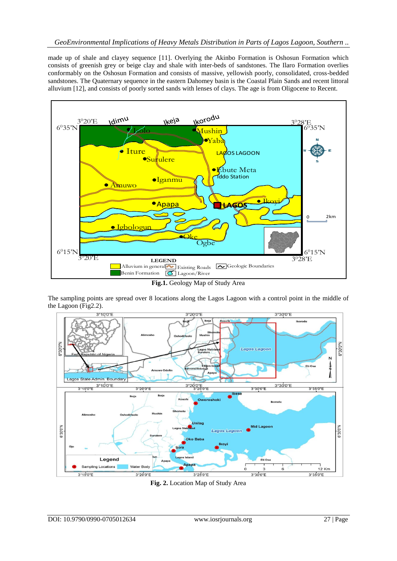made up of shale and clayey sequence [11]. Overlying the Akinbo Formation is Oshosun Formation which consists of greenish grey or beige clay and shale with inter-beds of sandstones. The Ilaro Formation overlies conformably on the Oshosun Formation and consists of massive, yellowish poorly, consolidated, cross-bedded sandstones. The Quaternary sequence in the eastern Dahomey basin is the Coastal Plain Sands and recent littoral alluvium [12], and consists of poorly sorted sands with lenses of clays. The age is from Oligocene to Recent.



**Fig.1.** Geology Map of Study Area

The sampling points are spread over 8 locations along the Lagos Lagoon with a control point in the middle of the Lagoon (Fig2.2).



**Fig. 2.** Location Map of Study Area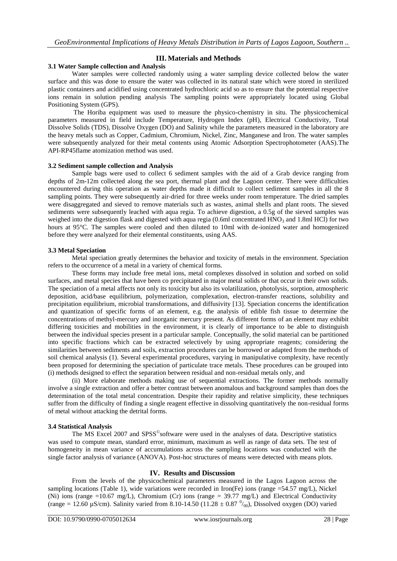## **III. Materials and Methods**

## **3.1 Water Sample collection and Analysis**

Water samples were collected randomly using a water sampling device collected below the water surface and this was done to ensure the water was collected in its natural state which were stored in sterilized plastic containers and acidified using concentrated hydrochloric acid so as to ensure that the potential respective ions remain in solution pending analysis The sampling points were appropriately located using Global Positioning System (GPS).

The Horiba equipment was used to measure the physico-chemistry in situ. The physicochemical parameters measured in field include Temperature, Hydrogen Index (pH), Electrical Conductivity, Total Dissolve Solids (TDS), Dissolve Oxygen (DO) and Salinity while the parameters measured in the laboratory are the heavy metals such as Copper, Cadmium, Chromium, Nickel, Zinc, Manganese and Iron. The water samples were subsequently analyzed for their metal contents using Atomic Adsorption Spectrophotometer (AAS).The API-RP45flame atomization method was used.

#### **3.2 Sediment sample collection and Analysis**

Sample bags were used to collect 6 sediment samples with the aid of a Grab device ranging from depths of 2m-12m collected along the sea port, thermal plant and the Lagoon center. There were difficulties encountered during this operation as water depths made it difficult to collect sediment samples in all the 8 sampling points. They were subsequently air-dried for three weeks under room temperature. The dried samples were disaggregated and sieved to remove materials such as wastes, animal shells and plant roots. The sieved sediments were subsequently leached with aqua regia. To achieve digestion, a 0.5g of the sieved samples was weighed into the digestion flask and digested with aqua regia (0.6ml concentrated HNO<sub>3</sub> and 1.8ml HCl) for two hours at 95°C. The samples were cooled and then diluted to 10ml with de-ionized water and homogenized before they were analyzed for their elemental constituents, using AAS.

#### **3.3 Metal Speciation**

Metal speciation greatly determines the behavior and toxicity of metals in the environment. Speciation refers to the occurrence of a metal in a variety of chemical forms.

These forms may include free metal ions, metal complexes dissolved in solution and sorbed on solid surfaces, and metal species that have been co precipitated in major metal solids or that occur in their own solids. The speciation of a metal affects not only its toxicity but also its volatilization, photolysis, sorption, atmospheric deposition, acid/base equilibrium, polymerization, complexation, electron-transfer reactions, solubility and precipitation equilibrium, microbial transformations, and diffusivity [13]. Speciation concerns the identification and quantization of specific forms of an element, e.g. the analysis of edible fish tissue to determine the concentrations of methyl-mercury and inorganic mercury present. As different forms of an element may exhibit differing toxicities and mobilities in the environment, it is clearly of importance to be able to distinguish between the individual species present in a particular sample. Conceptually, the solid material can be partitioned into specific fractions which can be extracted selectively by using appropriate reagents; considering the similarities between sediments and soils, extraction procedures can be borrowed or adapted from the methods of soil chemical analysis (1). Several experimental procedures, varying in manipulative complexity, have recently been proposed for determining the speciation of particulate trace metals. These procedures can be grouped into (i) methods designed to effect the separation between residual and non-residual metals only, and

(ii) More elaborate methods making use of sequential extractions. The former methods normally involve a single extraction and offer a better contrast between anomalous and background samples than does the determination of the total metal concentration. Despite their rapidity and relative simplicity, these techniques suffer from the difficulty of finding a single reagent effective in dissolving quantitatively the non-residual forms of metal without attacking the detrital forms.

### **3.4 Statistical Analysis**

The MS Excel 2007 and SPSS<sup>©</sup>software were used in the analyses of data. Descriptive statistics was used to compute mean, standard error, minimum, maximum as well as range of data sets. The test of homogeneity in mean variance of accumulations across the sampling locations was conducted with the single factor analysis of variance (ANOVA). Post-hoc structures of means were detected with means plots.

### **IV. Results and Discussion**

From the levels of the physicochemical parameters measured in the Lagos Lagoon across the sampling locations (Table 1), wide variations were recorded in Iron(Fe) ions (range =54.57 mg/L), Nickel (Ni) ions (range  $=10.67$  mg/L), Chromium (Cr) ions (range  $= 39.77$  mg/L) and Electrical Conductivity (range = 12.60  $\mu$ S/cm). Salinity varied from 8.10-14.50 (11.28  $\pm$  0.87  $\binom{0}{00}$ ), Dissolved oxygen (DO) varied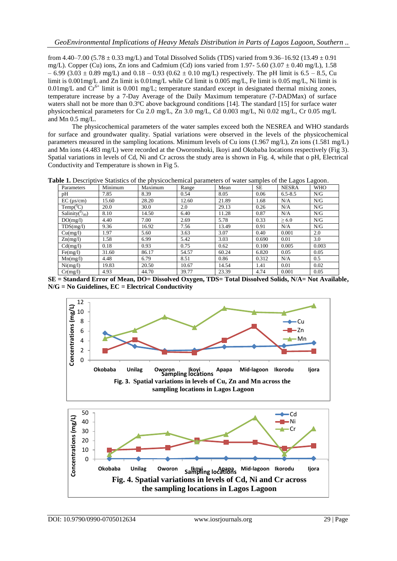from 4.40–7.00 (5.78  $\pm$  0.33 mg/L) and Total Dissolved Solids (TDS) varied from 9.36–16.92 (13.49  $\pm$  0.91 mg/L). Copper (Cu) ions, Zn ions and Cadmium (Cd) ions varied from 1.97- 5.60 (3.07  $\pm$  0.40 mg/L), 1.58  $-6.99$  (3.03  $\pm$  0.89 mg/L) and 0.18 – 0.93 (0.62  $\pm$  0.10 mg/L) respectively. The pH limit is 6.5 – 8.5, Cu limit is 0.001mg/L and Zn limit is 0.01mg/L while Cd limit is 0.005 mg/L, Fe limit is 0.05 mg/L, Ni limit is  $0.01 \text{ mg/L}$  and  $Cr^{6+}$  limit is 0.001 mg/L; temperature standard except in designated thermal mixing zones, temperature increase by a 7-Day Average of the Daily Maximum temperature (7-DADMax) of surface waters shall not be more than  $0.3^{\circ}$ C above background conditions [14]. The standard [15] for surface water physicochemical parameters for Cu 2.0 mg/L, Zn 3.0 mg/L, Cd 0.003 mg/L, Ni 0.02 mg/L, Cr 0.05 mg/L and Mn 0.5 mg/L.

The physicochemical parameters of the water samples exceed both the NESREA and WHO standards for surface and groundwater quality. Spatial variations were observed in the levels of the physicochemical parameters measured in the sampling locations. Minimum levels of Cu ions (1.967 mg/L), Zn ions (1.581 mg/L) and Mn ions (4.483 mg/L) were recorded at the Oworonshoki, Ikoyi and Okobaba locations respectively (Fig 3). Spatial variations in levels of Cd, Ni and Cr across the study area is shown in Fig. 4, while that o pH, Electrical Conductivity and Temperature is shown in Fig 5.

**Table 1.** Descriptive Statistics of the physicochemical parameters of water samples of the Lagos Lagoon.

|                            |         | $\overline{\phantom{a}}$ |       |       |       |              | ັ             |
|----------------------------|---------|--------------------------|-------|-------|-------|--------------|---------------|
| Parameters                 | Minimum | Maximum                  | Range | Mean  | SE    | <b>NESRA</b> | <b>WHO</b>    |
| рH                         | 7.85    | 8.39                     | 0.54  | 8.05  | 0.06  | $6.5 - 8.5$  | N/G           |
| $EC$ ( $\mu$ s/cm)         | 15.60   | 28.20                    | 12.60 | 21.89 | 1.68  | N/A          | N/G           |
| Temp( ${}^0C$ )            | 20.0    | 30.0                     | 2.0   | 29.13 | 0.26  | N/A          | N/G           |
| Salinity( $\frac{0}{00}$ ) | 8.10    | 14.50                    | 6.40  | 11.28 | 0.87  | N/A          | N/G           |
| DO(mg/l)                   | 4.40    | 7.00                     | 2.69  | 5.78  | 0.33  | $\geq 6.0$   | N/G           |
| TDS(mg/l)                  | 9.36    | 16.92                    | 7.56  | 13.49 | 0.91  | N/A          | N/G           |
| Cu(mg/l)                   | 1.97    | 5.60                     | 3.63  | 3.07  | 0.40  | 0.001        | 2.0           |
| Zn(mg/l)                   | 1.58    | 6.99                     | 5.42  | 3.03  | 0.690 | 0.01         | 3.0           |
| Cd(mg/l)                   | 0.18    | 0.93                     | 0.75  | 0.62  | 0.100 | 0.005        | 0.003         |
| Fe(mg/l)                   | 31.60   | 86.17                    | 54.57 | 60.24 | 6.820 | 0.05         | 0.05          |
| Mn(mg/l)                   | 4.48    | 6.79                     | 8.51  | 0.86  | 0.312 | N/A          | $0.5^{\circ}$ |
| Ni(mg/l)                   | 19.83   | 20.50                    | 10.67 | 14.54 | 1.41  | 0.01         | 0.02          |
| Cr(mg/l)                   | 4.93    | 44.70                    | 39.77 | 23.39 | 4.74  | 0.001        | 0.05          |





0 **Okobaba Unilag Oworon Ikoyi Apapa Mid-lagoon Ikorodu Ijora Sampling locations Fig. 4. Spatial variations in levels of Cd, Ni and Cr across the sampling locations in Lagos Lagoon**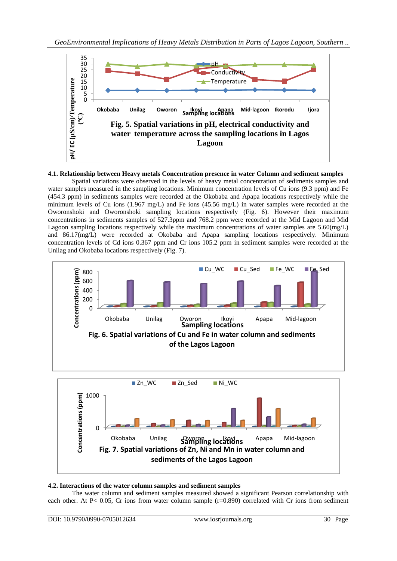

# **4.1. Relationship between Heavy metals Concentration presence in water Column and sediment samples**

Spatial variations were observed in the levels of heavy metal concentration of sediments samples and water samples measured in the sampling locations. Minimum concentration levels of Cu ions (9.3 ppm) and Fe (454.3 ppm) in sediments samples were recorded at the Okobaba and Apapa locations respectively while the minimum levels of Cu ions (1.967 mg/L) and Fe ions (45.56 mg/L) in water samples were recorded at the Oworonshoki and Oworonshoki sampling locations respectively (Fig. 6). However their maximum concentrations in sediments samples of 527.3ppm and 768.2 ppm were recorded at the Mid Lagoon and Mid Lagoon sampling locations respectively while the maximum concentrations of water samples are 5.60(mg/L) and 86.17(mg/L) were recorded at Okobaba and Apapa sampling locations respectively. Minimum concentration levels of Cd ions 0.367 ppm and Cr ions 105.2 ppm in sediment samples were recorded at the Unilag and Okobaba locations respectively (Fig. 7).



# **4.2. Interactions of the water column samples and sediment samples**

The water column and sediment samples measured showed a significant Pearson correlationship with each other. At P< 0.05, Cr ions from water column sample (r=0.890) correlated with Cr ions from sediment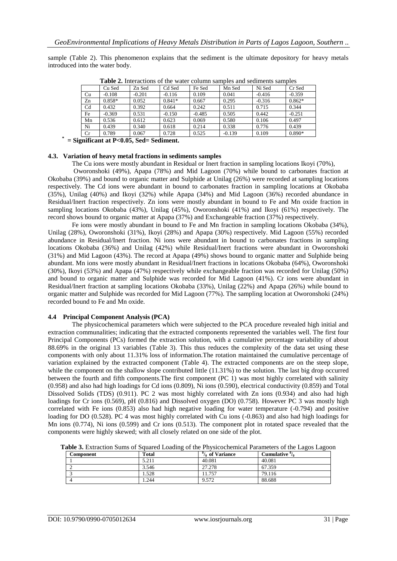sample (Table 2). This phenomenon explains that the sediment is the ultimate depository for heavy metals introduced into the water body.

|                |          |          |          |          | <b>Table 2.</b> Interactions of the water column samples and sequinents samples |          |          |
|----------------|----------|----------|----------|----------|---------------------------------------------------------------------------------|----------|----------|
|                | Cu Sed   | Zn Sed   | Cd Sed   | Fe Sed   | Mn Sed                                                                          | Ni Sed   | Cr Sed   |
| Cu             | $-0.108$ | $-0.201$ | $-0.116$ | 0.109    | 0.041                                                                           | $-0.416$ | $-0.359$ |
| Zn             | $0.858*$ | 0.052    | $0.841*$ | 0.667    | 0.295                                                                           | $-0.316$ | $0.862*$ |
| C <sub>d</sub> | 0.432    | 0.392    | 0.664    | 0.242    | 0.511                                                                           | 0.715    | 0.344    |
| Fe             | $-0.369$ | 0.531    | $-0.150$ | $-0.485$ | 0.505                                                                           | 0.442    | $-0.251$ |
| Mn             | 0.536    | 0.612    | 0.623    | 0.069    | 0.580                                                                           | 0.106    | 0.497    |
| Ni             | 0.439    | 0.340    | 0.618    | 0.214    | 0.338                                                                           | 0.776    | 0.439    |
| Cr             | 0.789    | 0.067    | 0.728    | 0.525    | $-0.139$                                                                        | 0.109    | $0.890*$ |

**Table 2.** Interactions of the water column samples and sediments samples

 **\* = Significant at P<0.05, Sed= Sediment.**

### **4.3. Variation of heavy metal fractions in sediments samples**

The Cu ions were mostly abundant in Residual or Inert fraction in sampling locations Ikoyi (70%),

Oworonshoki (49%), Apapa (78%) and Mid Lagoon (70%) while bound to carbonates fraction at Okobaba (39%) and bound to organic matter and Sulphide at Unilag (26%) were recorded at sampling locations respectively. The Cd ions were abundant in bound to carbonates fraction in sampling locations at Okobaba (35%), Unilag (40%) and Ikoyi (32%) while Apapa (34%) and Mid Lagoon (36%) recorded abundance in Residual/Inert fraction respectively. Zn ions were mostly abundant in bound to Fe and Mn oxide fraction in sampling locations Okobaba (43%), Unilag (45%), Oworonshoki (41%) and Ikoyi (61%) respectively. The record shows bound to organic matter at Apapa (37%) and Exchangeable fraction (37%) respectively.

Fe ions were mostly abundant in bound to Fe and Mn fraction in sampling locations Okobaba (34%), Unilag (28%), Oworonshoki (31%), Ikoyi (28%) and Apapa (30%) respectively. Mid Lagoon (55%) recorded abundance in Residual/Inert fraction. Ni ions were abundant in bound to carbonates fractions in sampling locations Okobaba (36%) and Unilag (42%) while Residual/Inert fractions were abundant in Oworonshoki (31%) and Mid Lagoon (43%). The record at Apapa (49%) shows bound to organic matter and Sulphide being abundant. Mn ions were mostly abundant in Residual/Inert fractions in locations Okobaba (64%), Oworonshoki (30%), Ikoyi (53%) and Apapa (47%) respectively while exchangeable fraction was recorded for Unilag (50%) and bound to organic matter and Sulphide was recorded for Mid Lagoon (41%). Cr ions were abundant in Residual/Inert fraction at sampling locations Okobaba (33%), Unilag (22%) and Apapa (26%) while bound to organic matter and Sulphide was recorded for Mid Lagoon (77%). The sampling location at Oworonshoki (24%) recorded bound to Fe and Mn oxide.

### **4.4 Principal Component Analysis (PCA)**

The physicochemical parameters which were subjected to the PCA procedure revealed high initial and extraction communalities; indicating that the extracted components represented the variables well. The first four Principal Components (PCs) formed the extraction solution, with a cumulative percentage variability of about 88.69% in the original 13 variables (Table 3). This thus reduces the complexity of the data set using these components with only about 11.31% loss of information.The rotation maintained the cumulative percentage of variation explained by the extracted component (Table 4). The extracted components are on the steep slope, while the component on the shallow slope contributed little (11.31%) to the solution. The last big drop occurred between the fourth and fifth components.The first component (PC 1) was most highly correlated with salinity (0.958) and also had high loadings for Cd ions (0.809), Ni ions (0.590), electrical conductivity (0.859) and Total Dissolved Solids (TDS) (0.911). PC 2 was most highly correlated with Zn ions (0.934) and also had high loadings for Cr ions (0.569), pH (0.816) and Dissolved oxygen (DO) (0.758). However PC 3 was mostly high correlated with Fe ions (0.853) also had high negative loading for water temperature (-0.794) and positive loading for DO (0.528). PC 4 was most highly correlated with Cu ions (-0.863) and also had high loadings for Mn ions (0.774), Ni ions (0.599) and Cr ions (0.513). The component plot in rotated space revealed that the components were highly skewed; with all closely related on one side of the plot.

**Table 3.** Extraction Sums of Squared Loading of the Physicochemical Parameters of the Lagos Lagoon

| <b>Component</b> | <b>Total</b> | 0,<br>% of Variance | Cumulative $\%$ |
|------------------|--------------|---------------------|-----------------|
|                  | 5.211        | 40.081              | 40.081          |
|                  | 3.546        | 27.278              | 67.359          |
|                  | 1.528        | 1.757               | 79.116          |
|                  | .244         | 9.572               | 88.688          |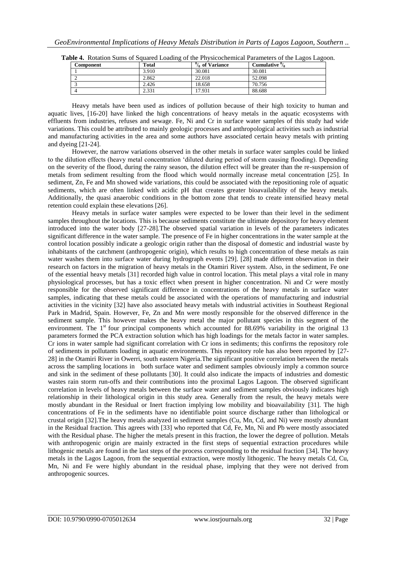| Component | Total | $\%$ of Variance | Cumulative $\%$ |
|-----------|-------|------------------|-----------------|
|           | 3.910 | 30.081           | 30.081          |
|           | 2.862 | 22.018           | 52.098          |
|           | 2.426 | 18.658           | 70.756          |
|           | 2.331 | 17.931           | 88.688          |

| Table 4. Rotation Sums of Squared Loading of the Physicochemical Parameters of the Lagos Lagoon. |  |
|--------------------------------------------------------------------------------------------------|--|
|--------------------------------------------------------------------------------------------------|--|

Heavy metals have been used as indices of pollution because of their high toxicity to human and aquatic lives, [16-20] have linked the high concentrations of heavy metals in the aquatic ecosystems with effluents from industries, refuses and sewage. Fe, Ni and Cr in surface water samples of this study had wide variations. This could be attributed to mainly geologic processes and anthropological activities such as industrial and manufacturing activities in the area and some authors have associated certain heavy metals with printing and dyeing [21-24].

However, the narrow variations observed in the other metals in surface water samples could be linked to the dilution effects (heavy metal concentration 'diluted during period of storm causing flooding). Depending on the severity of the flood, during the rainy season, the dilution effect will be greater than the re-suspension of metals from sediment resulting from the flood which would normally increase metal concentration [25]. In sediment, Zn, Fe and Mn showed wide variations, this could be associated with the repositioning role of aquatic sediments, which are often linked with acidic pH that creates greater bioavailability of the heavy metals. Additionally, the quasi anaerobic conditions in the bottom zone that tends to create intensified heavy metal retention could explain these elevations [26].

Heavy metals in surface water samples were expected to be lower than their level in the sediment samples throughout the locations. This is because sediments constitute the ultimate depository for heavy element introduced into the water body [27-28].The observed spatial variation in levels of the parameters indicates significant difference in the water sample. The presence of Fe in higher concentrations in the water sample at the control location possibly indicate a geologic origin rather than the disposal of domestic and industrial waste by inhabitants of the catchment (anthropogenic origin), which results to high concentration of these metals as rain water washes them into surface water during hydrograph events [29]. [28] made different observation in their research on factors in the migration of heavy metals in the Otamiri River system. Also, in the sediment, Fe one of the essential heavy metals [31] recorded high value in control location. This metal plays a vital role in many physiological processes, but has a toxic effect when present in higher concentration. Ni and Cr were mostly responsible for the observed significant difference in concentrations of the heavy metals in surface water samples, indicating that these metals could be associated with the operations of manufacturing and industrial activities in the vicinity [32] have also associated heavy metals with industrial activities in Southeast Regional Park in Madrid, Spain. However, Fe, Zn and Mn were mostly responsible for the observed difference in the sediment sample. This however makes the heavy metal the major pollutant species in this segment of the environment. The  $1<sup>st</sup>$  four principal components which accounted for 88.69% variability in the original 13 parameters formed the PCA extraction solution which has high loadings for the metals factor in water samples. Cr ions in water sample had significant correlation with Cr ions in sediments; this confirms the repository role of sediments in pollutants loading in aquatic environments. This repository role has also been reported by [27- 28] in the Otamiri River in Owerri, south eastern Nigeria.The significant positive correlation between the metals across the sampling locations in both surface water and sediment samples obviously imply a common source and sink in the sediment of these pollutants [30]. It could also indicate the impacts of industries and domestic wastes rain storm run-offs and their contributions into the proximal Lagos Lagoon. The observed significant correlation in levels of heavy metals between the surface water and sediment samples obviously indicates high relationship in their lithological origin in this study area. Generally from the result, the heavy metals were mostly abundant in the Residual or Inert fraction implying low mobility and bioavailability [31]. The high concentrations of Fe in the sediments have no identifiable point source discharge rather than lithological or crustal origin [32].The heavy metals analyzed in sediment samples (Cu, Mn, Cd, and Ni) were mostly abundant in the Residual fraction. This agrees with [33] who reported that Cd, Fe, Mn, Ni and Pb were mostly associated with the Residual phase. The higher the metals present in this fraction, the lower the degree of pollution. Metals with anthropogenic origin are mainly extracted in the first steps of sequential extraction procedures while lithogenic metals are found in the last steps of the process corresponding to the residual fraction [34]. The heavy metals in the Lagos Lagoon, from the sequential extraction, were mostly lithogenic. The heavy metals Cd, Cu, Mn, Ni and Fe were highly abundant in the residual phase, implying that they were not derived from anthropogenic sources.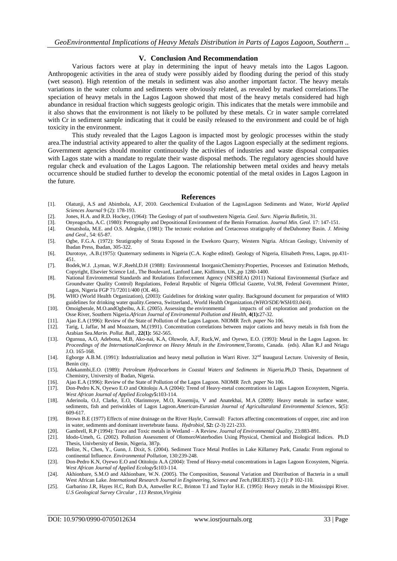## **V. Conclusion And Recommendation**

Various factors were at play in determining the input of heavy metals into the Lagos Lagoon. Anthropogenic activities in the area of study were possibly aided by flooding during the period of this study (wet season). High retention of the metals in sediment was also another important factor. The heavy metals variations in the water column and sediments were obviously related, as revealed by marked correlations.The speciation of heavy metals in the Lagos Lagoon showed that most of the heavy metals considered had high abundance in residual fraction which suggests geologic origin. This indicates that the metals were immobile and it also shows that the environment is not likely to be polluted by these metals. Cr in water sample correlated with Cr in sediment sample indicating that it could be easily released to the environment and could be of high toxicity in the environment.

This study revealed that the Lagos Lagoon is impacted most by geologic processes within the study area.The industrial activity appeared to alter the quality of the Lagos Lagoon especially at the sediment regions. Government agencies should monitor continuously the activities of industries and waste disposal companies with Lagos state with a mandate to regulate their waste disposal methods. The regulatory agencies should have regular check and evaluation of the Lagos Lagoon. The relationship between metal oxides and heavy metals occurrence should be studied further to develop the economic potential of the metal oxides in Lagos Lagoon in the future.

#### **References**

- [1]. Olatunji, A.S and Abimbola, A.F, 2010. Geochemical Evaluation of the LagosLagoon Sediments and Water, *World Applied Sciences Journal* 9 (2): 178-193.
- [2]. Jones, H.A. and R.D. Hockey, (1964): The Geology of part of southwestern Nigeria*. Geol. Surv. Nigeria Bulletin,* 31.
- [3]. Onyeagocha, A.C. (1980): Petrography and Depositional Environment of the Benin Formation. *Journal Min. Geol.* 17: 147-151.
- [4]. Omatshola, M.E. and O.S. Adegoke, (1981): The tectonic evolution and Cretaceous stratigraphy of theDahomey Basin. *J. Mining and Geol*., 54: 65-87.
- [5]. Ogbe, F.G.A. (1972): Stratigraphy of Strata Exposed in the Ewekoro Quarry, Western Nigria. African Geology, University of Ibadan Press, Ibadan, 305-322.
- [6]. Durotoye, .A.B.(1975): Quaternary sediments in Nigeria (C.A. Kogbe edited). Geology of Nigeria, Elisabeth Press, Lagos, pp.431- 451.
- [7]. Bodek,W.J. ,Lyman, W.F.,Reehl,D.H (1988): Environmental InorganicChemistry:Properties, Processes and Estimation Methods, Copyright, Elsevier Science Ltd., The Boulevard, Lanford Lane, Kidlinton, UK.,pp 1280-1400.
- [8]. National Environmental Standards and Reulations Enforcement Agency (NESREA) (2011) National Environmental (Surface and Groundwater Quality Control) Regulations, Federal Republic of Nigeria Official Gazette, Vol.98, Federal Government Printer, Lagos, Nigeria FGP 71/72011/400 (OL 46).
- [9]. WHO (World Health Organization), (2003): Guidelines for drinking water quality. Background document for preparation of WHO
- guidelines for drinking water quality.Geneva, Switzerland., World Health Organization.(*WHO/SDE/WSH/03.04/4*).<br>Omoigberale, M.O.andOgbeibu, A.E. (2005). Assessing the environmental impacts of oil exploration and production [10]. Omoigberale, M.O.andOgbeibu, A.E. (2005). Assessing the environmental Osse River, Southern Nigeria.*African Journal of Enviromental Pollution and Health,* **4(1):**27-32.
- [11]. Ajao E.A (1996): Review of the State of Pollution of the Lagos Lagoon. NIOMR *Tech. paper* No 106.
- [12]. Tarig, I, Jaffar, M and Moazzam, M.(1991). Concentration correlations between major cations and heavy metals in fish from the Arabian Sea.*Marin. Pollut. Bull.,* **22(1):** 562-565.
- [13]. Ogunsua, A.O, Adebona, M.B, Ako-nai, K.A, Oluwole, A.F, Ruck,W, and Oyewo, E.O. (1993): Metal in the Lagos Lagoon. In: *Proceedings of the InternationalConference on Heavy Metals in the Environment*,Toronto, Canada. (eds). Allan R.J and Nriagu J.O. 165-168.
- [14]. Egborge A.B.M. (1991): Industrialization and heavy metal pollution in Warri River. 32nd Inaugural Lecture. University of Benin, Benin city.
- [15]. Adekanmbi,E.O. (1989): *Petroleum Hydrocarbons in Coastal Waters and Sediments in Nigeria.*Ph,D Thesis, Department of Chemistry, University of Ibadan, Nigeria.
- [16]. Ajao E.A (1996): Review of the State of Pollution of the Lagos Lagoon. NIOMR *Tech. paper* No 106.
- [17]. Don-Pedro K.N, Oyewo E.O and Otitoloju A.A (2004): Trend of Heavy-metal concentrations in Lagos Lagoon Ecosystem, Nigeria. *West African Journal of Applied Ecology***5:**103-114.
- [18]. Aderinola, O.J, Clarke, E.O, Olarinmoye, M.O, Kusemiju, V and Anatekhai, M.A (2009): Heavy metals in surface water, sediments, fish and periwinkles of Lagos Lagoon.*American-Eurasian Journal of Agriculturaland Environmental Sciences*, **5**(5): 609-617.
- [19]. Brown B.E (1977) Effects of mine drainage on the River Hayle, Cornwall: Factors affecting concentrations of copper, zinc and iron in water, sediments and dominant invertebrate fauna. *Hydrobiol,* **52:** (2-3) 221-233.
- [20]. Gambrell, R.P (1994): Trace and Toxic metals in Wetland A Review. *Journal of Environmental Quality,* 23:883-891.
- [21]. Idodo-Umeh, G. (2002). Pollution Assessment of OlomoroWaterbodies Using Physical, Chemical and Biological Indices. Ph.D Thesis, Univbersity of Benin, Nigeria, 387p.
- [22]. Belize, N., Chen, Y., Gunn, J. Dixit, S. (2004). Sediment Trace Metal Profiles in Lake Killarney Park, Canada: From regional to continental Influence. *Environmental Pollution,* 130:239-248.
- [23]. Don-Pedro K.N, Oyewo E.O and Otitoloju A.A (2004): Trend of Heavy-metal concentrations in Lagos Lagoon Ecosystem, Nigeria. *West African Journal of Applied Ecology***5:**103-114.
- [24]. Akhionbare, S.M.O and Akhionbare, W.N. (2005). The Composition, Seasonal Variation and Distribution of Bacteria in a small West African Lake. *International Research Journal in Engineering, Science and Tech.(*IREJEST). 2 (1): P 102-110.
- [25]. Garbarino J.R, Hayes H.C, Roth D.A, Antweller R.C, Brinton T.I and Taylor H.E. (1995): Heavy metals in the Mississippi River. *U.S Geological Survey Circular , 113 Reston,Virginia*